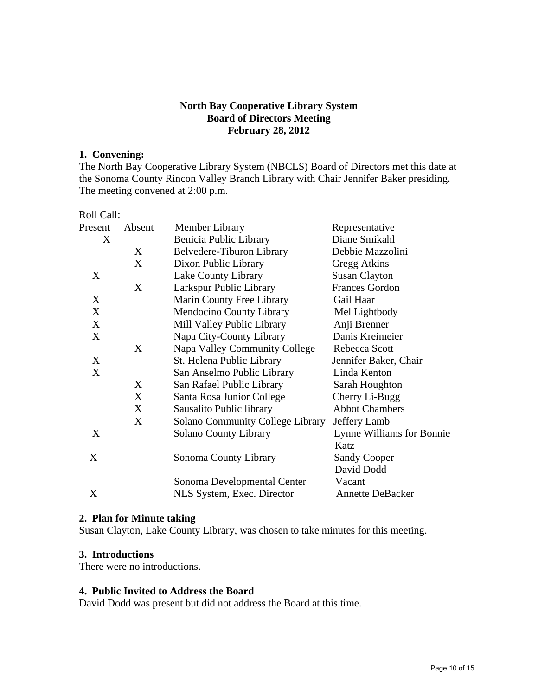### **North Bay Cooperative Library System Board of Directors Meeting February 28, 2012**

### **1. Convening:**

The North Bay Cooperative Library System (NBCLS) Board of Directors met this date at the Sonoma County Rincon Valley Branch Library with Chair Jennifer Baker presiding. The meeting convened at 2:00 p.m.

| Roll Call: |                                         |                           |
|------------|-----------------------------------------|---------------------------|
| Absent     | <b>Member Library</b>                   | <u>Representative</u>     |
|            | Benicia Public Library                  | Diane Smikahl             |
| X          | Belvedere-Tiburon Library               | Debbie Mazzolini          |
| X          | Dixon Public Library                    | Gregg Atkins              |
|            | <b>Lake County Library</b>              | <b>Susan Clayton</b>      |
| X          | Larkspur Public Library                 | <b>Frances Gordon</b>     |
|            | Marin County Free Library               | Gail Haar                 |
|            | Mendocino County Library                | Mel Lightbody             |
|            | Mill Valley Public Library              | Anji Brenner              |
|            | Napa City-County Library                | Danis Kreimeier           |
| X          | Napa Valley Community College           | Rebecca Scott             |
|            | St. Helena Public Library               | Jennifer Baker, Chair     |
|            | San Anselmo Public Library              | Linda Kenton              |
| X          | San Rafael Public Library               | Sarah Houghton            |
| X          | Santa Rosa Junior College               | Cherry Li-Bugg            |
| X          | Sausalito Public library                | <b>Abbot Chambers</b>     |
| X          | <b>Solano Community College Library</b> | Jeffery Lamb              |
| X          | <b>Solano County Library</b>            | Lynne Williams for Bonnie |
|            |                                         | Katz                      |
| X          | Sonoma County Library                   | <b>Sandy Cooper</b>       |
|            |                                         | David Dodd                |
|            | Sonoma Developmental Center             | Vacant                    |
|            | NLS System, Exec. Director              | <b>Annette DeBacker</b>   |
|            |                                         |                           |

### **2. Plan for Minute taking**

Susan Clayton, Lake County Library, was chosen to take minutes for this meeting.

### **3. Introductions**

There were no introductions.

#### **4. Public Invited to Address the Board**

David Dodd was present but did not address the Board at this time.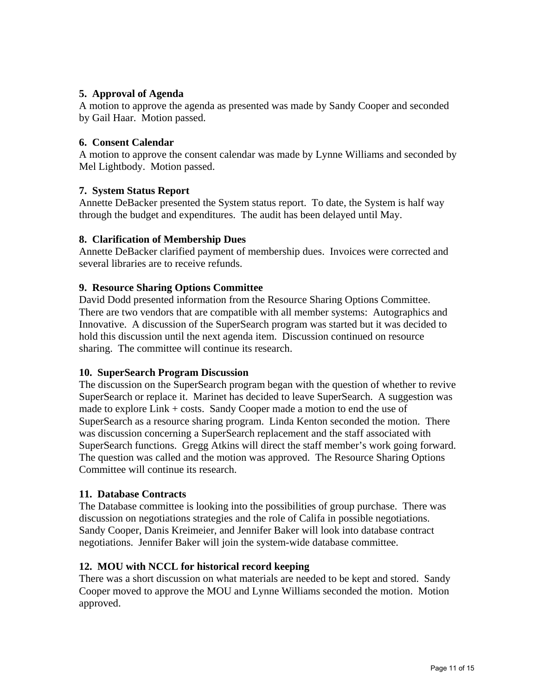# **5. Approval of Agenda**

A motion to approve the agenda as presented was made by Sandy Cooper and seconded by Gail Haar. Motion passed.

### **6. Consent Calendar**

A motion to approve the consent calendar was made by Lynne Williams and seconded by Mel Lightbody. Motion passed.

### **7. System Status Report**

Annette DeBacker presented the System status report. To date, the System is half way through the budget and expenditures. The audit has been delayed until May.

### **8. Clarification of Membership Dues**

Annette DeBacker clarified payment of membership dues. Invoices were corrected and several libraries are to receive refunds.

# **9. Resource Sharing Options Committee**

David Dodd presented information from the Resource Sharing Options Committee. There are two vendors that are compatible with all member systems: Autographics and Innovative. A discussion of the SuperSearch program was started but it was decided to hold this discussion until the next agenda item. Discussion continued on resource sharing. The committee will continue its research.

### **10. SuperSearch Program Discussion**

The discussion on the SuperSearch program began with the question of whether to revive SuperSearch or replace it. Marinet has decided to leave SuperSearch. A suggestion was made to explore Link + costs. Sandy Cooper made a motion to end the use of SuperSearch as a resource sharing program. Linda Kenton seconded the motion. There was discussion concerning a SuperSearch replacement and the staff associated with SuperSearch functions. Gregg Atkins will direct the staff member's work going forward. The question was called and the motion was approved. The Resource Sharing Options Committee will continue its research.

### **11. Database Contracts**

The Database committee is looking into the possibilities of group purchase. There was discussion on negotiations strategies and the role of Califa in possible negotiations. Sandy Cooper, Danis Kreimeier, and Jennifer Baker will look into database contract negotiations. Jennifer Baker will join the system-wide database committee.

### **12. MOU with NCCL for historical record keeping**

There was a short discussion on what materials are needed to be kept and stored. Sandy Cooper moved to approve the MOU and Lynne Williams seconded the motion. Motion approved.